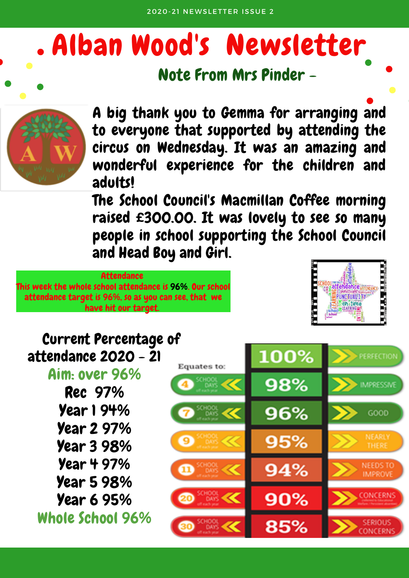# Alban Wood's Newsletter

#### Note From Mrs Pinder -



A big thank you to Gemma for arranging and to everyone that supported by attending the circus on Wednesday. It was an amazing and wonderful experience for the children and adults!

The School Council's Macmillan Coffee morning raised £300.00. It was lovely to see so many people in school supporting the School Council and Head Boy and Girl.



#### Current Percentage of 100% attendance 2020 - 21 **ERFECTION** Equates to: Aim: over 96% 98% **MPRESSIN** Rec 97% Year 1 94% 96% GOOD Year 2 97% NEARLY 95% Year 3 98% **THERE** Year 4 97% **NEEDS TO** 94% **IMPROVE** Year 5 98% **ONCERN** Year 6 95%  $90%$ Whole School 96%85%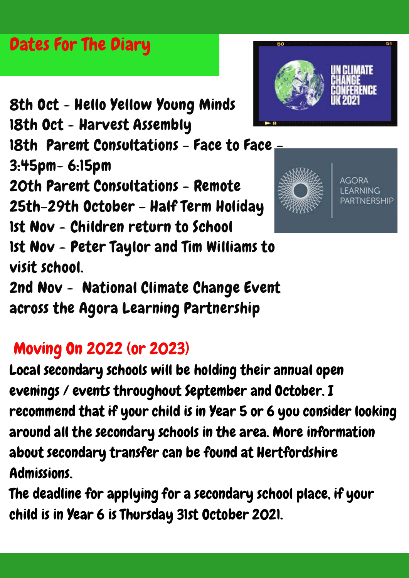### Dates For The Diary

8th Oct - Hello Yellow Young Minds

18th Oct - Harvest Assembly

18th Parent Consultations - Face to Face. 3:45pm- 6:15pm

20th Parent Consultations - Remote

25th-29th October - Half Term Holiday

1st Nov - Children return to School

1st Nov - Peter Taylor and Tim Williams to visit school.

2nd Nov - National Climate Change Event across the Agora Learning Partnership

### Moving On 2022 (or 2023)

Local secondary schools will be holding their annual open evenings / events throughout September and October. I recommend that if your child is in Year 5 or 6 you consider looking around all the secondary schools in the area. More information about secondary transfer can be found at [Hertfordshire](https://www.hertfordshire.gov.uk/services/schools-and-education/school-admissions/school-admissions-and-transport.aspx) Admissions.

The deadline for applying for a secondary school place, if your child is in Year 6 is Thursday 31st October 2021.



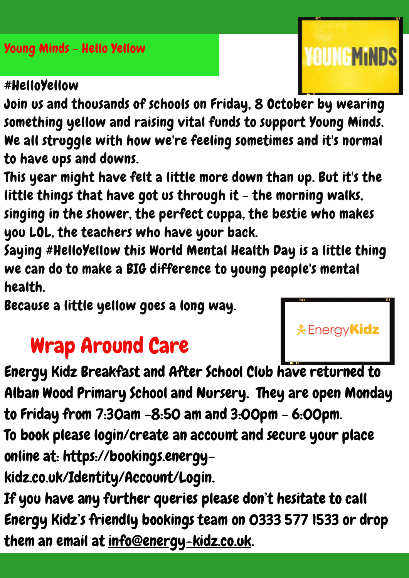Young Minds - Hello Yellow

#### #HelloYellow

Join us and thousands of schools on Friday, 8 October by wearing something yellow and raising vital funds to support Young Minds. We all struggle with how we're feeling sometimes and it's normal to have ups and downs.

This year might have felt a little more down than up. But it's the little things that have got us through it  $-$  the morning walks, singing in the shower, the perfect cuppa, the bestie who makes you LOL, the teachers who have your back.

Saying #HelloYellow this World Mental Health Day is a little thing we can do to make a BIG difference to young people's mental health.

Because a little yellow goes a long way.

### Wrap Around Care

Energy Kidz Breakfast and After School Club have returned to Alban Wood Primary School and Nursery. They are open Monday to Friday from 7:30am -8:50 am and 3:00pm - 6:00pm.

To book please login/create an account and secure your place online at: https://bookings.energy-

[kidz.co.uk/Identity/Account/Login.](https://bookings.energy-kidz.co.uk/Identity/Account/Login)

If you have any further queries please don't hesitate to call Energy Kidz's friendly bookings team on 0333 577 1533 or drop them an email at [info@energy-kidz.co.uk.](mailto:info@energy-kidz.co.uk)



**YOUNGMINDS**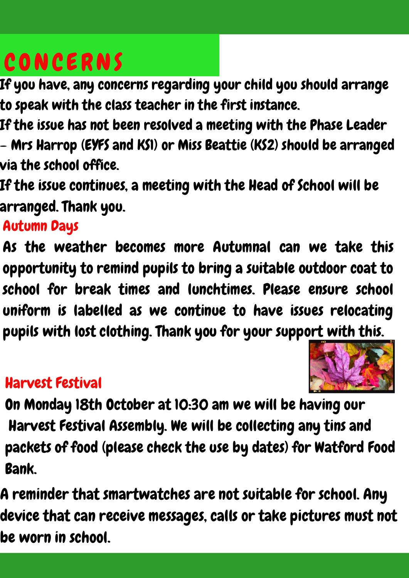## **CONCERNS**

If you have, any concerns regarding your child you should arrange to speak with the class teacher in the first instance.

If the issue has not been resolved a meeting with the Phase Leader – Mrs Harrop (EYFS and KS1) or Miss Beattie (KS2) should be arranged via the school office.

If the issue continues, a meeting with the Head of School will be arranged. Thank you.

### Autumn Days

As the weather becomes more Autumnal can we take this opportunity to remind pupils to bring a suitable outdoor coat to school for break times and lunchtimes. Please ensure school uniform is labelled as we continue to have issues relocating pupils with lost clothing. Thank you for your support with this.

### Harvest Festival



On Monday 18th October at 10:30 am we will be having our Harvest Festival Assembly. We will be collecting any tins and packets of food (please check the use by dates) for Watford Food Bank.

A reminder that smartwatches are not suitable for school. Any device that can receive messages, calls or take pictures must not be worn in school.